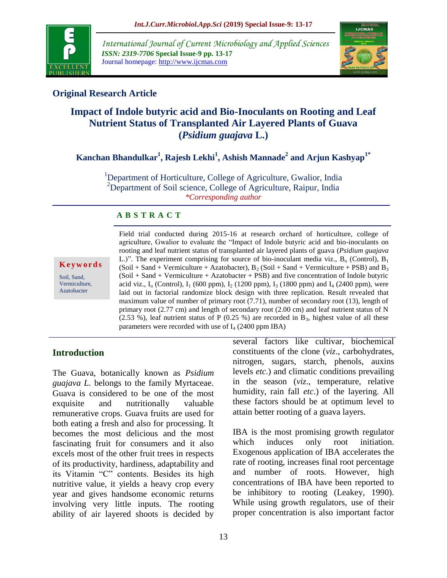

*International Journal of Current Microbiology and Applied Sciences ISSN: 2319-7706* **Special Issue-9 pp. 13-17** Journal homepage: http://www.ijcmas.com



## **Original Research Article**

# **Impact of Indole butyric acid and Bio-Inoculants on Rooting and Leaf Nutrient Status of Transplanted Air Layered Plants of Guava (***Psidium guajava* **L.)**

## **Kanchan Bhandulkar<sup>1</sup> , Rajesh Lekhi<sup>1</sup> , Ashish Mannade<sup>2</sup> and Arjun Kashyap1\***

<sup>1</sup>Department of Horticulture, College of Agriculture, Gwalior, India <sup>2</sup>Department of Soil science, College of Agriculture, Raipur, India *\*Corresponding author*

#### **A B S T R A C T**



Soil, Sand, Vermiculture, Azatobacter

Field trial conducted during 2015-16 at research orchard of horticulture, college of agriculture, Gwalior to evaluate the "Impact of Indole butyric acid and bio-inoculants on rooting and leaf nutrient status of transplanted air layered plants of guava (*Psidium guajava*  L.)". The experiment comprising for source of bio-inoculant media viz.,  $B_0$  (Control),  $B_1$ (Soil + Sand + Vermiculture + Azatobacter),  $B_2$  (Soil + Sand + Vermiculture + PSB) and  $B_3$ (Soil + Sand + Vermiculture + Azatobacter + PSB) and five concentration of Indole butyric acid viz.,  $I_0$  (Control),  $I_1$  (600 ppm),  $I_2$  (1200 ppm),  $I_3$  (1800 ppm) and  $I_4$  (2400 ppm), were laid out in factorial randomize block design with three replication. Result revealed that maximum value of number of primary root (7.71), number of secondary root (13), length of primary root (2.77 cm) and length of secondary root (2.00 cm) and leaf nutrient status of N (2.53 %), leaf nutrient status of P (0.25 %) are recorded in  $B_3$ , highest value of all these parameters were recorded with use of  $I_4$  (2400 ppm IBA)

#### **Introduction**

The Guava, botanically known as *Psidium guajava L.* belongs to the family Myrtaceae. Guava is considered to be one of the most exquisite and nutritionally valuable remunerative crops. Guava fruits are used for both eating a fresh and also for processing. It becomes the most delicious and the most fascinating fruit for consumers and it also excels most of the other fruit trees in respects of its productivity, hardiness, adaptability and its Vitamin "C" contents. Besides its high nutritive value, it yields a heavy crop every year and gives handsome economic returns involving very little inputs. The rooting ability of air layered shoots is decided by

several factors like cultivar, biochemical constituents of the clone (*viz*., carbohydrates, nitrogen, sugars, starch, phenols, auxins levels *etc*.) and climatic conditions prevailing in the season (*viz*., temperature, relative humidity, rain fall *etc*.) of the layering. All these factors should be at optimum level to attain better rooting of a guava layers.

IBA is the most promising growth regulator which induces only root initiation. Exogenous application of IBA accelerates the rate of rooting, increases final root percentage and number of roots. However, high concentrations of IBA have been reported to be inhibitory to rooting (Leakey, 1990). While using growth regulators, use of their proper concentration is also important factor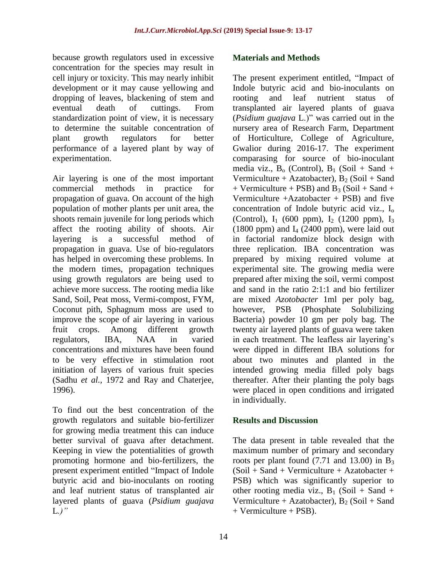because growth regulators used in excessive concentration for the species may result in cell injury or toxicity. This may nearly inhibit development or it may cause yellowing and dropping of leaves, blackening of stem and eventual death of cuttings. From standardization point of view, it is necessary to determine the suitable concentration of plant growth regulators for better performance of a layered plant by way of experimentation.

Air layering is one of the most important commercial methods in practice for propagation of guava. On account of the high population of mother plants per unit area, the shoots remain juvenile for long periods which affect the rooting ability of shoots. Air layering is a successful method of propagation in guava. Use of bio-regulators has helped in overcoming these problems. In the modern times, propagation techniques using growth regulators are being used to achieve more success. The rooting media like Sand, Soil, Peat moss, Vermi-compost, FYM, Coconut pith, Sphagnum moss are used to improve the scope of air layering in various fruit crops. Among different growth regulators, IBA, NAA in varied concentrations and mixtures have been found to be very effective in stimulation root initiation of layers of various fruit species (Sadhu *et al.,* 1972 and Ray and Chaterjee, 1996).

To find out the best concentration of the growth regulators and suitable bio-fertilizer for growing media treatment this can induce better survival of guava after detachment. Keeping in view the potentialities of growth promoting hormone and bio-fertilizers, the present experiment entitled "Impact of Indole butyric acid and bio-inoculants on rooting and leaf nutrient status of transplanted air layered plants of guava (*Psidium guajava*  L*.)"*

#### **Materials and Methods**

The present experiment entitled, "Impact of Indole butyric acid and bio-inoculants on rooting and leaf nutrient status of transplanted air layered plants of guava (*Psidium guajava* L.)" was carried out in the nursery area of Research Farm, Department of Horticulture, College of Agriculture, Gwalior during 2016-17. The experiment comparasing for source of bio-inoculant media viz.,  $B_0$  (Control),  $B_1$  (Soil + Sand + Vermiculture + Azatobacter),  $B_2$  (Soil + Sand + Vermiculture + PSB) and  $B_3$  (Soil + Sand + Vermiculture  $+A$ zatobacter + PSB) and five concentration of Indole butyric acid viz., I<sub>o</sub> (Control),  $I_1$  (600 ppm),  $I_2$  (1200 ppm),  $I_3$  $(1800 \text{ ppm})$  and  $I_4$   $(2400 \text{ ppm})$ , were laid out in factorial randomize block design with three replication. IBA concentration was prepared by mixing required volume at experimental site. The growing media were prepared after mixing the soil, vermi compost and sand in the ratio 2:1:1 and bio fertilizer are mixed *Azotobacter* 1ml per poly bag, however, PSB (Phosphate Solubilizing Bacteria) powder 10 gm per poly bag. The twenty air layered plants of guava were taken in each treatment. The leafless air layering's were dipped in different IBA solutions for about two minutes and planted in the intended growing media filled poly bags thereafter. After their planting the poly bags were placed in open conditions and irrigated in individually.

#### **Results and Discussion**

The data present in table revealed that the maximum number of primary and secondary roots per plant found  $(7.71 \text{ and } 13.00)$  in  $B_3$  $(Soil + Sand + Vermiculture + Azatobacter +$ PSB) which was significantly superior to other rooting media viz.,  $B_1$  (Soil + Sand + Vermiculture + Azatobacter),  $B_2$  (Soil + Sand + Vermiculture + PSB).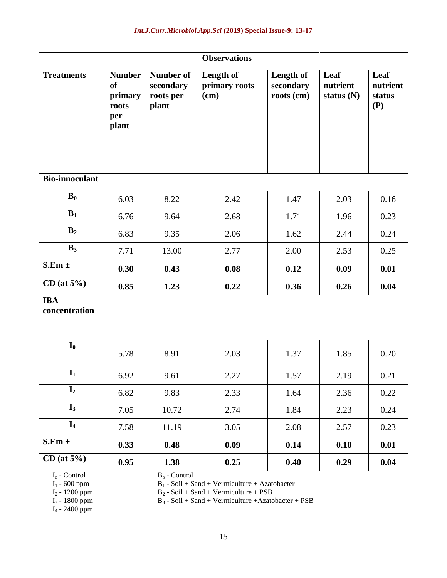|                                    | <b>Observations</b>                                                 |                                                     |                                      |                                      |                                  |                                   |
|------------------------------------|---------------------------------------------------------------------|-----------------------------------------------------|--------------------------------------|--------------------------------------|----------------------------------|-----------------------------------|
| <b>Treatments</b>                  | <b>Number</b><br><b>of</b><br>primary<br>roots<br>per<br>plant      | <b>Number of</b><br>secondary<br>roots per<br>plant | Length of<br>primary roots<br>$(cm)$ | Length of<br>secondary<br>roots (cm) | Leaf<br>nutrient<br>status $(N)$ | Leaf<br>nutrient<br>status<br>(P) |
| <b>Bio-innoculant</b>              |                                                                     |                                                     |                                      |                                      |                                  |                                   |
| $B_0$                              | 6.03                                                                | 8.22                                                | 2.42                                 | 1.47                                 | 2.03                             | 0.16                              |
| $B_1$                              | 6.76                                                                | 9.64                                                | 2.68                                 | 1.71                                 | 1.96                             | 0.23                              |
| B <sub>2</sub>                     | 6.83                                                                | 9.35                                                | 2.06                                 | 1.62                                 | 2.44                             | 0.24                              |
| $B_3$                              | 7.71                                                                | 13.00                                               | 2.77                                 | 2.00                                 | 2.53                             | 0.25                              |
| $S.Em \pm$                         | 0.30                                                                | 0.43                                                | 0.08                                 | 0.12                                 | 0.09                             | 0.01                              |
| $CD$ (at $5\%$ )                   | 0.85                                                                | 1.23                                                | 0.22                                 | 0.36                                 | 0.26                             | 0.04                              |
| <b>IBA</b><br>concentration        |                                                                     |                                                     |                                      |                                      |                                  |                                   |
| $I_0$                              | 5.78                                                                | 8.91                                                | 2.03                                 | 1.37                                 | 1.85                             | 0.20                              |
| $I_1$                              | 6.92                                                                | 9.61                                                | 2.27                                 | 1.57                                 | 2.19                             | 0.21                              |
| I <sub>2</sub>                     | 6.82                                                                | 9.83                                                | 2.33                                 | 1.64                                 | 2.36                             | 0.22                              |
| $I_3$                              | 7.05                                                                | 10.72                                               | 2.74                                 | 1.84                                 | 2.23                             | 0.24                              |
| I <sub>4</sub>                     | 7.58                                                                | 11.19                                               | 3.05                                 | 2.08                                 | 2.57                             | 0.23                              |
| $S.Em \pm$                         | 0.33                                                                | 0.48                                                | 0.09                                 | 0.14                                 | 0.10                             | 0.01                              |
| $CD$ (at $5\%$ )                   | 0.95                                                                | 1.38                                                | 0.25                                 | 0.40                                 | 0.29                             | 0.04                              |
| $I_0$ - Control<br>$I_1$ - 600 ppm | $B_0$ - Control<br>$B_1$ - Soil + Sand + Vermiculture + Azatobacter |                                                     |                                      |                                      |                                  |                                   |

 $B_1$  - Soil + Sand + Vermiculture + Azatobacter  $B_2$  - Soil + Sand + Vermiculture + PSB

 $B_3$  - Soil + Sand + Vermiculture +Azatobacter + PSB

 $I_2$  - 1200 ppm<br> $I_3$  - 1800 ppm<br> $I_4$  - 2400 ppm

15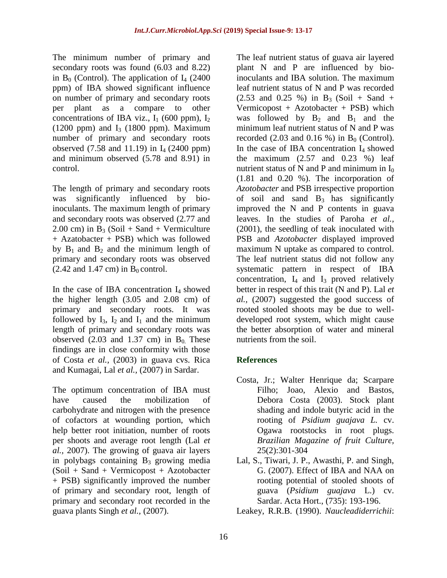The minimum number of primary and secondary roots was found (6.03 and 8.22) in  $B_0$  (Control). The application of  $I_4$  (2400) ppm) of IBA showed significant influence on number of primary and secondary roots per plant as a compare to other concentrations of IBA viz.,  $I_1$  (600 ppm),  $I_2$ (1200 ppm) and  $I_3$  (1800 ppm). Maximum number of primary and secondary roots observed  $(7.58 \text{ and } 11.19)$  in  $I_4$   $(2400 \text{ ppm})$ and minimum observed (5.78 and 8.91) in control.

The length of primary and secondary roots was significantly influenced by bioinoculants. The maximum length of primary and secondary roots was observed (2.77 and 2.00 cm) in  $B_3$  (Soil + Sand + Vermiculture + Azatobacter + PSB) which was followed by  $B_1$  and  $B_2$  and the minimum length of primary and secondary roots was observed  $(2.42$  and 1.47 cm) in B<sub>0</sub> control.

In the case of IBA concentration  $I_4$  showed the higher length (3.05 and 2.08 cm) of primary and secondary roots. It was followed by  $I_3$ ,  $I_2$  and  $I_1$  and the minimum length of primary and secondary roots was observed (2.03 and 1.37 cm) in  $B_0$ . These findings are in close conformity with those of Costa *et al.,* (2003) in guava cvs. Rica and Kumagai, Lal *et al.,* (2007) in Sardar.

The optimum concentration of IBA must have caused the mobilization of carbohydrate and nitrogen with the presence of cofactors at wounding portion, which help better root initiation, number of roots per shoots and average root length (Lal *et al.,* 2007). The growing of guava air layers in polybags containing  $B_3$  growing media (Soil + Sand + Vermicopost + Azotobacter + PSB) significantly improved the number of primary and secondary root, length of primary and secondary root recorded in the guava plants Singh *et al.,* (2007).

The leaf nutrient status of guava air layered plant N and P are influenced by bioinoculants and IBA solution. The maximum leaf nutrient status of N and P was recorded  $(2.53 \text{ and } 0.25 \text{ %})$  in B<sub>3</sub> (Soil + Sand + Vermicopost + Azotobacter + PSB) which was followed by  $B_2$  and  $B_1$  and the minimum leaf nutrient status of N and P was recorded (2.03 and 0.16 %) in  $B_0$  (Control). In the case of IBA concentration  $I_4$  showed the maximum  $(2.57 \text{ and } 0.23 \%)$  leaf nutrient status of N and P and minimum in  $I_0$ (1.81 and 0.20 %). The incorporation of *Azotobacter* and PSB irrespective proportion of soil and sand  $B_3$  has significantly improved the N and P contents in guava leaves. In the studies of Paroha *et al.,*  (2001), the seedling of teak inoculated with PSB and *Azotobacter* displayed improved maximum N uptake as compared to control. The leaf nutrient status did not follow any systematic pattern in respect of IBA concentration,  $I_4$  and  $I_3$  proved relatively better in respect of this trait (N and P). Lal *et al.,* (2007) suggested the good success of rooted stooled shoots may be due to welldeveloped root system, which might cause the better absorption of water and mineral nutrients from the soil.

### **References**

- Costa, Jr.; Walter Henrique da; Scarpare Filho; Joao, Alexio and Bastos, Debora Costa (2003). Stock plant shading and indole butyric acid in the rooting of *Psidium guajava L.* cv. Ogawa rootstocks in root plugs. *Brazilian Magazine of fruit Culture,*  25(2):301-304
- Lal, S., Tiwari, J. P., Awasthi, P. and Singh, G. (2007). Effect of IBA and NAA on rooting potential of stooled shoots of guava (*Psidium guajava* L.) cv. Sardar. Acta Hort., (735): 193-196.
- Leakey, R.R.B. (1990). *Naucleadiderrichii*: